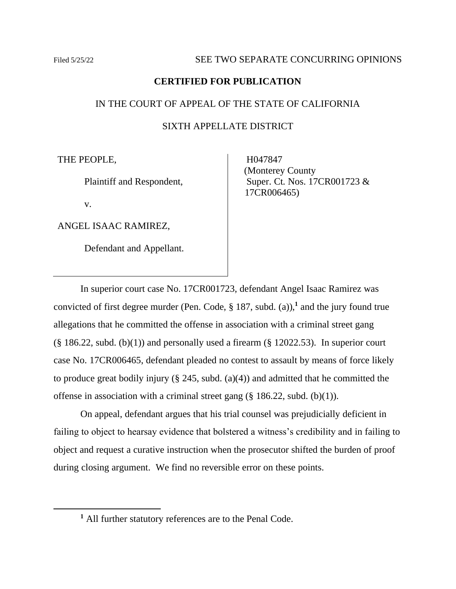### **CERTIFIED FOR PUBLICATION**

# IN THE COURT OF APPEAL OF THE STATE OF CALIFORNIA

SIXTH APPELLATE DISTRICT

THE PEOPLE,

Plaintiff and Respondent,

v.

ANGEL ISAAC RAMIREZ,

Defendant and Appellant.

 H047847 (Monterey County Super. Ct. Nos. 17CR001723 & 17CR006465)

In superior court case No. 17CR001723, defendant Angel Isaac Ramirez was convicted of first degree murder (Pen. Code, § 187, subd. (a)),**<sup>1</sup>** and the jury found true allegations that he committed the offense in association with a criminal street gang  $(\S 186.22, \text{subd. (b)}(1))$  and personally used a firearm  $(\S 12022.53)$ . In superior court case No. 17CR006465, defendant pleaded no contest to assault by means of force likely to produce great bodily injury (§ 245, subd. (a)(4)) and admitted that he committed the offense in association with a criminal street gang  $(\S 186.22, \text{subd. (b)}(1)).$ 

On appeal, defendant argues that his trial counsel was prejudicially deficient in failing to object to hearsay evidence that bolstered a witness's credibility and in failing to object and request a curative instruction when the prosecutor shifted the burden of proof during closing argument. We find no reversible error on these points.

**<sup>1</sup>** All further statutory references are to the Penal Code.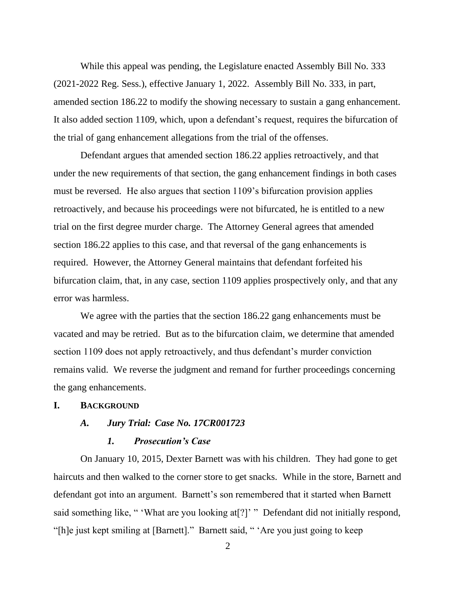While this appeal was pending, the Legislature enacted Assembly Bill No. 333 (2021-2022 Reg. Sess.), effective January 1, 2022. Assembly Bill No. 333, in part, amended section 186.22 to modify the showing necessary to sustain a gang enhancement. It also added section 1109, which, upon a defendant's request, requires the bifurcation of the trial of gang enhancement allegations from the trial of the offenses.

Defendant argues that amended section 186.22 applies retroactively, and that under the new requirements of that section, the gang enhancement findings in both cases must be reversed. He also argues that section 1109's bifurcation provision applies retroactively, and because his proceedings were not bifurcated, he is entitled to a new trial on the first degree murder charge. The Attorney General agrees that amended section 186.22 applies to this case, and that reversal of the gang enhancements is required. However, the Attorney General maintains that defendant forfeited his bifurcation claim, that, in any case, section 1109 applies prospectively only, and that any error was harmless.

We agree with the parties that the section 186.22 gang enhancements must be vacated and may be retried. But as to the bifurcation claim, we determine that amended section 1109 does not apply retroactively, and thus defendant's murder conviction remains valid. We reverse the judgment and remand for further proceedings concerning the gang enhancements.

### **I. BACKGROUND**

### *A. Jury Trial: Case No. 17CR001723*

#### *1. Prosecution's Case*

On January 10, 2015, Dexter Barnett was with his children. They had gone to get haircuts and then walked to the corner store to get snacks. While in the store, Barnett and defendant got into an argument. Barnett's son remembered that it started when Barnett said something like, " 'What are you looking at<sup>[?]'</sup> " Defendant did not initially respond, "[h]e just kept smiling at [Barnett]." Barnett said, " 'Are you just going to keep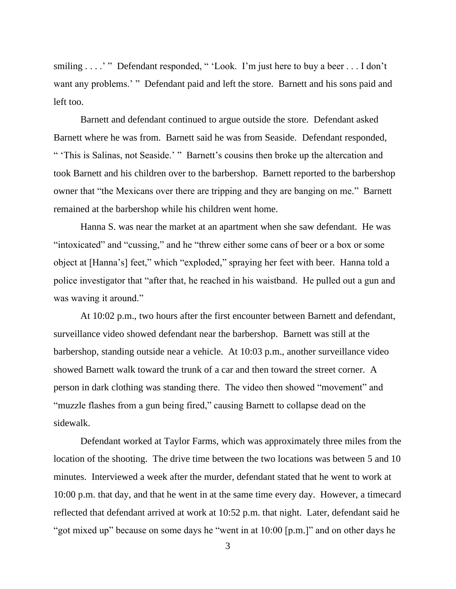smiling . . . .' " Defendant responded, " 'Look. I'm just here to buy a beer . . . I don't want any problems.' " Defendant paid and left the store. Barnett and his sons paid and left too.

Barnett and defendant continued to argue outside the store. Defendant asked Barnett where he was from. Barnett said he was from Seaside. Defendant responded, " 'This is Salinas, not Seaside.' " Barnett's cousins then broke up the altercation and took Barnett and his children over to the barbershop. Barnett reported to the barbershop owner that "the Mexicans over there are tripping and they are banging on me." Barnett remained at the barbershop while his children went home.

Hanna S. was near the market at an apartment when she saw defendant. He was "intoxicated" and "cussing," and he "threw either some cans of beer or a box or some object at [Hanna's] feet," which "exploded," spraying her feet with beer. Hanna told a police investigator that "after that, he reached in his waistband. He pulled out a gun and was waving it around."

At 10:02 p.m., two hours after the first encounter between Barnett and defendant, surveillance video showed defendant near the barbershop. Barnett was still at the barbershop, standing outside near a vehicle. At 10:03 p.m., another surveillance video showed Barnett walk toward the trunk of a car and then toward the street corner. A person in dark clothing was standing there. The video then showed "movement" and "muzzle flashes from a gun being fired," causing Barnett to collapse dead on the sidewalk.

Defendant worked at Taylor Farms, which was approximately three miles from the location of the shooting. The drive time between the two locations was between 5 and 10 minutes. Interviewed a week after the murder, defendant stated that he went to work at 10:00 p.m. that day, and that he went in at the same time every day. However, a timecard reflected that defendant arrived at work at 10:52 p.m. that night. Later, defendant said he "got mixed up" because on some days he "went in at 10:00 [p.m.]" and on other days he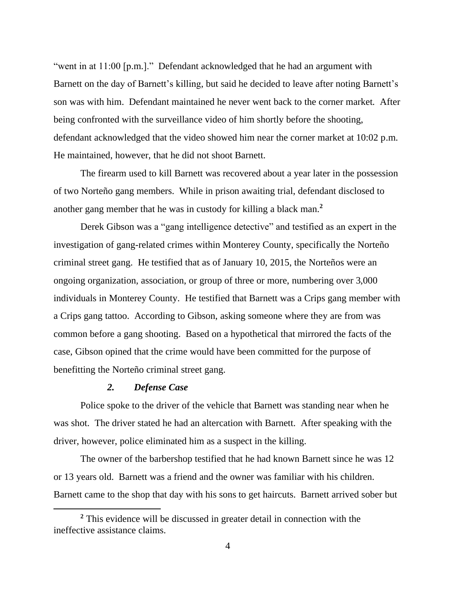"went in at 11:00 [p.m.]." Defendant acknowledged that he had an argument with Barnett on the day of Barnett's killing, but said he decided to leave after noting Barnett's son was with him. Defendant maintained he never went back to the corner market. After being confronted with the surveillance video of him shortly before the shooting, defendant acknowledged that the video showed him near the corner market at 10:02 p.m. He maintained, however, that he did not shoot Barnett.

The firearm used to kill Barnett was recovered about a year later in the possession of two Norteño gang members. While in prison awaiting trial, defendant disclosed to another gang member that he was in custody for killing a black man.**<sup>2</sup>**

Derek Gibson was a "gang intelligence detective" and testified as an expert in the investigation of gang-related crimes within Monterey County, specifically the Norteño criminal street gang. He testified that as of January 10, 2015, the Norteños were an ongoing organization, association, or group of three or more, numbering over 3,000 individuals in Monterey County. He testified that Barnett was a Crips gang member with a Crips gang tattoo. According to Gibson, asking someone where they are from was common before a gang shooting. Based on a hypothetical that mirrored the facts of the case, Gibson opined that the crime would have been committed for the purpose of benefitting the Norteño criminal street gang.

#### *2. Defense Case*

Police spoke to the driver of the vehicle that Barnett was standing near when he was shot. The driver stated he had an altercation with Barnett. After speaking with the driver, however, police eliminated him as a suspect in the killing.

The owner of the barbershop testified that he had known Barnett since he was 12 or 13 years old. Barnett was a friend and the owner was familiar with his children. Barnett came to the shop that day with his sons to get haircuts. Barnett arrived sober but

**<sup>2</sup>** This evidence will be discussed in greater detail in connection with the ineffective assistance claims.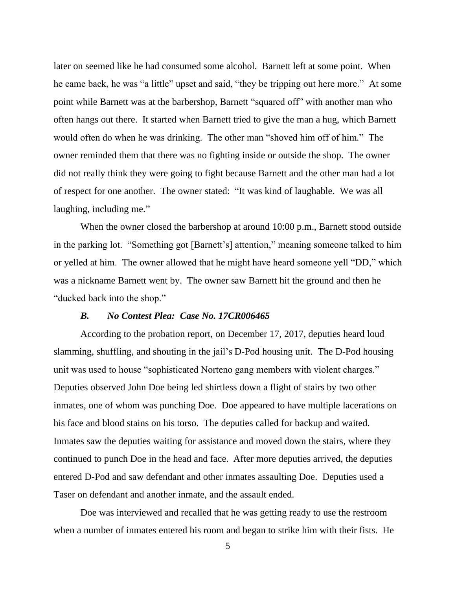later on seemed like he had consumed some alcohol. Barnett left at some point. When he came back, he was "a little" upset and said, "they be tripping out here more." At some point while Barnett was at the barbershop, Barnett "squared off" with another man who often hangs out there. It started when Barnett tried to give the man a hug, which Barnett would often do when he was drinking. The other man "shoved him off of him." The owner reminded them that there was no fighting inside or outside the shop. The owner did not really think they were going to fight because Barnett and the other man had a lot of respect for one another. The owner stated: "It was kind of laughable. We was all laughing, including me."

When the owner closed the barbershop at around 10:00 p.m., Barnett stood outside in the parking lot. "Something got [Barnett's] attention," meaning someone talked to him or yelled at him. The owner allowed that he might have heard someone yell "DD," which was a nickname Barnett went by. The owner saw Barnett hit the ground and then he "ducked back into the shop."

#### *B. No Contest Plea: Case No. 17CR006465*

According to the probation report, on December 17, 2017, deputies heard loud slamming, shuffling, and shouting in the jail's D-Pod housing unit. The D-Pod housing unit was used to house "sophisticated Norteno gang members with violent charges." Deputies observed John Doe being led shirtless down a flight of stairs by two other inmates, one of whom was punching Doe. Doe appeared to have multiple lacerations on his face and blood stains on his torso. The deputies called for backup and waited. Inmates saw the deputies waiting for assistance and moved down the stairs, where they continued to punch Doe in the head and face. After more deputies arrived, the deputies entered D-Pod and saw defendant and other inmates assaulting Doe. Deputies used a Taser on defendant and another inmate, and the assault ended.

Doe was interviewed and recalled that he was getting ready to use the restroom when a number of inmates entered his room and began to strike him with their fists. He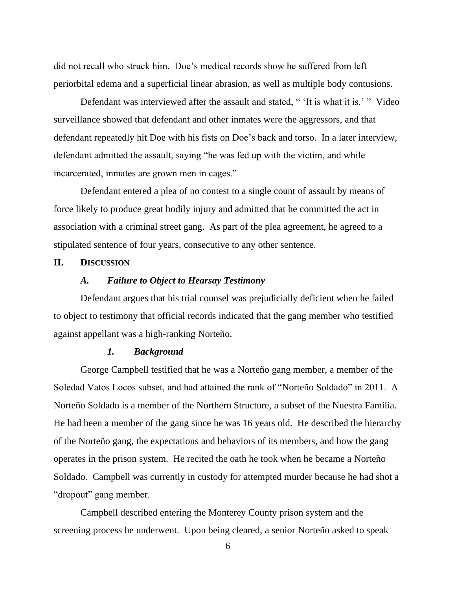did not recall who struck him. Doe's medical records show he suffered from left periorbital edema and a superficial linear abrasion, as well as multiple body contusions.

Defendant was interviewed after the assault and stated, " 'It is what it is.' " Video surveillance showed that defendant and other inmates were the aggressors, and that defendant repeatedly hit Doe with his fists on Doe's back and torso. In a later interview, defendant admitted the assault, saying "he was fed up with the victim, and while incarcerated, inmates are grown men in cages."

Defendant entered a plea of no contest to a single count of assault by means of force likely to produce great bodily injury and admitted that he committed the act in association with a criminal street gang. As part of the plea agreement, he agreed to a stipulated sentence of four years, consecutive to any other sentence.

### **II. DISCUSSION**

#### *A. Failure to Object to Hearsay Testimony*

Defendant argues that his trial counsel was prejudicially deficient when he failed to object to testimony that official records indicated that the gang member who testified against appellant was a high-ranking Norteño.

## *1. Background*

George Campbell testified that he was a Norteño gang member, a member of the Soledad Vatos Locos subset, and had attained the rank of "Norteño Soldado" in 2011. A Norteño Soldado is a member of the Northern Structure, a subset of the Nuestra Familia. He had been a member of the gang since he was 16 years old. He described the hierarchy of the Norteño gang, the expectations and behaviors of its members, and how the gang operates in the prison system. He recited the oath he took when he became a Norteño Soldado. Campbell was currently in custody for attempted murder because he had shot a "dropout" gang member.

Campbell described entering the Monterey County prison system and the screening process he underwent. Upon being cleared, a senior Norteño asked to speak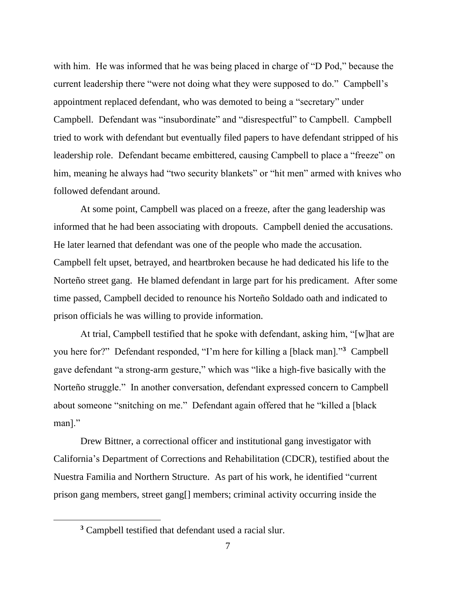with him. He was informed that he was being placed in charge of "D Pod," because the current leadership there "were not doing what they were supposed to do." Campbell's appointment replaced defendant, who was demoted to being a "secretary" under Campbell. Defendant was "insubordinate" and "disrespectful" to Campbell. Campbell tried to work with defendant but eventually filed papers to have defendant stripped of his leadership role. Defendant became embittered, causing Campbell to place a "freeze" on him, meaning he always had "two security blankets" or "hit men" armed with knives who followed defendant around.

At some point, Campbell was placed on a freeze, after the gang leadership was informed that he had been associating with dropouts. Campbell denied the accusations. He later learned that defendant was one of the people who made the accusation. Campbell felt upset, betrayed, and heartbroken because he had dedicated his life to the Norteño street gang. He blamed defendant in large part for his predicament. After some time passed, Campbell decided to renounce his Norteño Soldado oath and indicated to prison officials he was willing to provide information.

At trial, Campbell testified that he spoke with defendant, asking him, "[w]hat are you here for?" Defendant responded, "I'm here for killing a [black man]."**<sup>3</sup>** Campbell gave defendant "a strong-arm gesture," which was "like a high-five basically with the Norteño struggle." In another conversation, defendant expressed concern to Campbell about someone "snitching on me." Defendant again offered that he "killed a [black man]."

Drew Bittner, a correctional officer and institutional gang investigator with California's Department of Corrections and Rehabilitation (CDCR), testified about the Nuestra Familia and Northern Structure. As part of his work, he identified "current prison gang members, street gang[] members; criminal activity occurring inside the

**<sup>3</sup>** Campbell testified that defendant used a racial slur.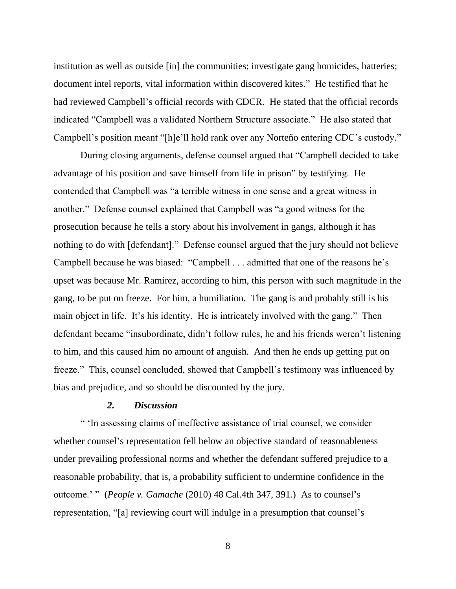institution as well as outside [in] the communities; investigate gang homicides, batteries; document intel reports, vital information within discovered kites." He testified that he had reviewed Campbell's official records with CDCR. He stated that the official records indicated "Campbell was a validated Northern Structure associate." He also stated that Campbell's position meant "[h]e'll hold rank over any Norteño entering CDC's custody."

During closing arguments, defense counsel argued that "Campbell decided to take advantage of his position and save himself from life in prison" by testifying. He contended that Campbell was "a terrible witness in one sense and a great witness in another." Defense counsel explained that Campbell was "a good witness for the prosecution because he tells a story about his involvement in gangs, although it has nothing to do with [defendant]." Defense counsel argued that the jury should not believe Campbell because he was biased: "Campbell . . . admitted that one of the reasons he's upset was because Mr. Ramirez, according to him, this person with such magnitude in the gang, to be put on freeze. For him, a humiliation. The gang is and probably still is his main object in life. It's his identity. He is intricately involved with the gang." Then defendant became "insubordinate, didn't follow rules, he and his friends weren't listening to him, and this caused him no amount of anguish. And then he ends up getting put on freeze." This, counsel concluded, showed that Campbell's testimony was influenced by bias and prejudice, and so should be discounted by the jury.

### *2. Discussion*

" 'In assessing claims of ineffective assistance of trial counsel, we consider whether counsel's representation fell below an objective standard of reasonableness under prevailing professional norms and whether the defendant suffered prejudice to a reasonable probability, that is, a probability sufficient to undermine confidence in the outcome.' " (*People v. Gamache* (2010) 48 Cal.4th 347, 391.) As to counsel's representation, "[a] reviewing court will indulge in a presumption that counsel's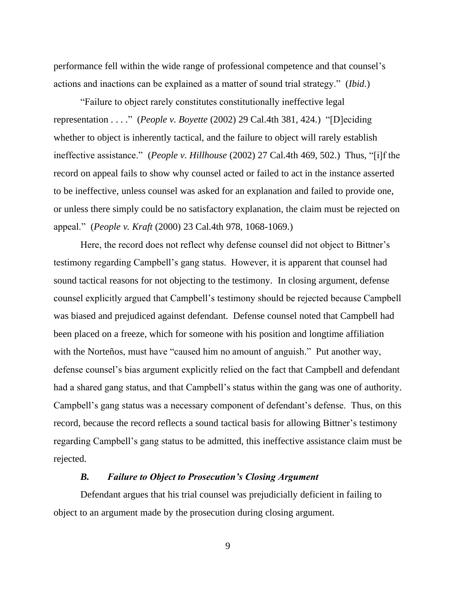performance fell within the wide range of professional competence and that counsel's actions and inactions can be explained as a matter of sound trial strategy." (*Ibid.*)

"Failure to object rarely constitutes constitutionally ineffective legal representation . . . ." (*People v. Boyette* (2002) 29 Cal.4th 381, 424.) "[D]eciding whether to object is inherently tactical, and the failure to object will rarely establish ineffective assistance." (*People v. Hillhouse* (2002) 27 Cal.4th 469, 502.) Thus, "[i]f the record on appeal fails to show why counsel acted or failed to act in the instance asserted to be ineffective, unless counsel was asked for an explanation and failed to provide one, or unless there simply could be no satisfactory explanation, the claim must be rejected on appeal." (*People v. Kraft* (2000) 23 Cal.4th 978, 1068-1069.)

Here, the record does not reflect why defense counsel did not object to Bittner's testimony regarding Campbell's gang status. However, it is apparent that counsel had sound tactical reasons for not objecting to the testimony. In closing argument, defense counsel explicitly argued that Campbell's testimony should be rejected because Campbell was biased and prejudiced against defendant. Defense counsel noted that Campbell had been placed on a freeze, which for someone with his position and longtime affiliation with the Norteños, must have "caused him no amount of anguish." Put another way, defense counsel's bias argument explicitly relied on the fact that Campbell and defendant had a shared gang status, and that Campbell's status within the gang was one of authority. Campbell's gang status was a necessary component of defendant's defense. Thus, on this record, because the record reflects a sound tactical basis for allowing Bittner's testimony regarding Campbell's gang status to be admitted, this ineffective assistance claim must be rejected.

## *B. Failure to Object to Prosecution's Closing Argument*

Defendant argues that his trial counsel was prejudicially deficient in failing to object to an argument made by the prosecution during closing argument.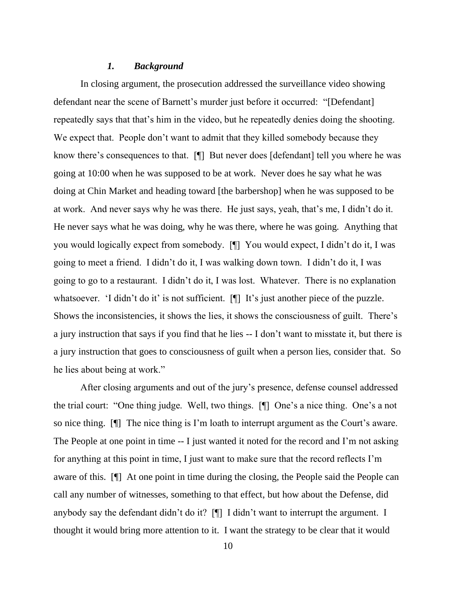#### *1. Background*

In closing argument, the prosecution addressed the surveillance video showing defendant near the scene of Barnett's murder just before it occurred: "[Defendant] repeatedly says that that's him in the video, but he repeatedly denies doing the shooting. We expect that. People don't want to admit that they killed somebody because they know there's consequences to that. [¶] But never does [defendant] tell you where he was going at 10:00 when he was supposed to be at work. Never does he say what he was doing at Chin Market and heading toward [the barbershop] when he was supposed to be at work. And never says why he was there. He just says, yeah, that's me, I didn't do it. He never says what he was doing, why he was there, where he was going. Anything that you would logically expect from somebody. [¶] You would expect, I didn't do it, I was going to meet a friend. I didn't do it, I was walking down town. I didn't do it, I was going to go to a restaurant. I didn't do it, I was lost. Whatever. There is no explanation whatsoever. 'I didn't do it' is not sufficient. [I] It's just another piece of the puzzle. Shows the inconsistencies, it shows the lies, it shows the consciousness of guilt. There's a jury instruction that says if you find that he lies -- I don't want to misstate it, but there is a jury instruction that goes to consciousness of guilt when a person lies, consider that. So he lies about being at work."

After closing arguments and out of the jury's presence, defense counsel addressed the trial court: "One thing judge. Well, two things. [¶] One's a nice thing. One's a not so nice thing. [¶] The nice thing is I'm loath to interrupt argument as the Court's aware. The People at one point in time -- I just wanted it noted for the record and I'm not asking for anything at this point in time, I just want to make sure that the record reflects I'm aware of this. [¶] At one point in time during the closing, the People said the People can call any number of witnesses, something to that effect, but how about the Defense, did anybody say the defendant didn't do it? [¶] I didn't want to interrupt the argument. I thought it would bring more attention to it. I want the strategy to be clear that it would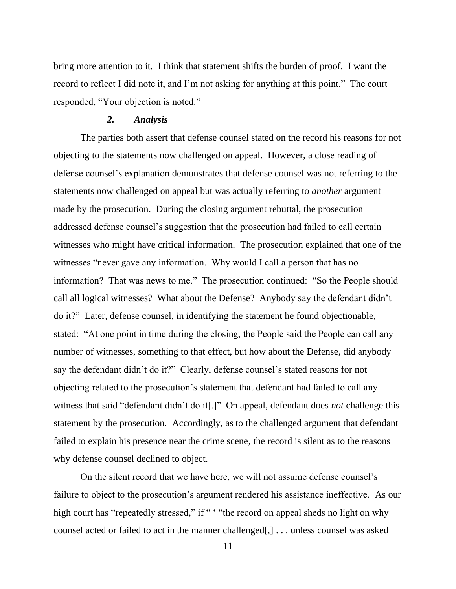bring more attention to it. I think that statement shifts the burden of proof. I want the record to reflect I did note it, and I'm not asking for anything at this point." The court responded, "Your objection is noted."

### *2. Analysis*

The parties both assert that defense counsel stated on the record his reasons for not objecting to the statements now challenged on appeal. However, a close reading of defense counsel's explanation demonstrates that defense counsel was not referring to the statements now challenged on appeal but was actually referring to *another* argument made by the prosecution. During the closing argument rebuttal, the prosecution addressed defense counsel's suggestion that the prosecution had failed to call certain witnesses who might have critical information. The prosecution explained that one of the witnesses "never gave any information. Why would I call a person that has no information? That was news to me." The prosecution continued: "So the People should call all logical witnesses? What about the Defense? Anybody say the defendant didn't do it?" Later, defense counsel, in identifying the statement he found objectionable, stated: "At one point in time during the closing, the People said the People can call any number of witnesses, something to that effect, but how about the Defense, did anybody say the defendant didn't do it?" Clearly, defense counsel's stated reasons for not objecting related to the prosecution's statement that defendant had failed to call any witness that said "defendant didn't do it[.]" On appeal, defendant does *not* challenge this statement by the prosecution. Accordingly, as to the challenged argument that defendant failed to explain his presence near the crime scene, the record is silent as to the reasons why defense counsel declined to object.

On the silent record that we have here, we will not assume defense counsel's failure to object to the prosecution's argument rendered his assistance ineffective. As our high court has "repeatedly stressed," if " ' "the record on appeal sheds no light on why counsel acted or failed to act in the manner challenged[,] . . . unless counsel was asked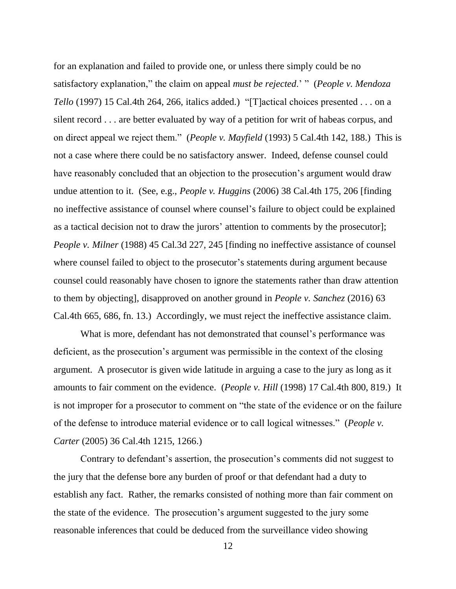for an explanation and failed to provide one, or unless there simply could be no satisfactory explanation," the claim on appeal *must be rejected*.' " (*People v. Mendoza Tello* (1997) 15 Cal.4th 264, 266, italics added.) "[T]actical choices presented . . . on a silent record . . . are better evaluated by way of a petition for writ of habeas corpus, and on direct appeal we reject them." (*People v. Mayfield* (1993) 5 Cal.4th 142, 188.) This is not a case where there could be no satisfactory answer. Indeed, defense counsel could have reasonably concluded that an objection to the prosecution's argument would draw undue attention to it. (See, e.g., *People v. Huggins* (2006) 38 Cal.4th 175, 206 [finding no ineffective assistance of counsel where counsel's failure to object could be explained as a tactical decision not to draw the jurors' attention to comments by the prosecutor]; *People v. Milner* (1988) 45 Cal.3d 227, 245 [finding no ineffective assistance of counsel where counsel failed to object to the prosecutor's statements during argument because counsel could reasonably have chosen to ignore the statements rather than draw attention to them by objecting], disapproved on another ground in *People v. Sanchez* (2016) 63 Cal.4th 665, 686, fn. 13.) Accordingly, we must reject the ineffective assistance claim.

What is more, defendant has not demonstrated that counsel's performance was deficient, as the prosecution's argument was permissible in the context of the closing argument. A prosecutor is given wide latitude in arguing a case to the jury as long as it amounts to fair comment on the evidence. (*People v. Hill* (1998) 17 Cal.4th 800, 819.) It is not improper for a prosecutor to comment on "the state of the evidence or on the failure of the defense to introduce material evidence or to call logical witnesses." (*People v. Carter* (2005) 36 Cal.4th 1215, 1266.)

Contrary to defendant's assertion, the prosecution's comments did not suggest to the jury that the defense bore any burden of proof or that defendant had a duty to establish any fact. Rather, the remarks consisted of nothing more than fair comment on the state of the evidence. The prosecution's argument suggested to the jury some reasonable inferences that could be deduced from the surveillance video showing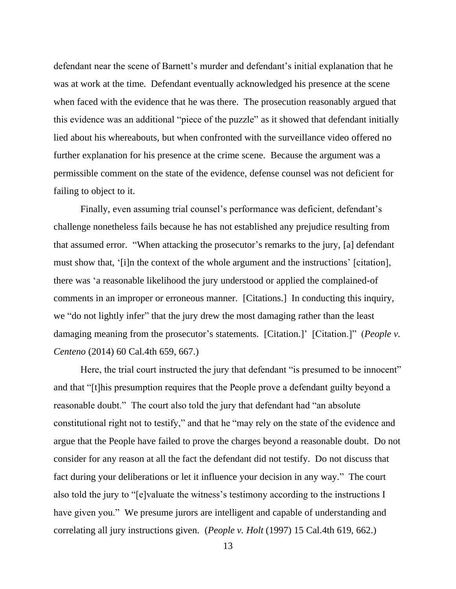defendant near the scene of Barnett's murder and defendant's initial explanation that he was at work at the time. Defendant eventually acknowledged his presence at the scene when faced with the evidence that he was there. The prosecution reasonably argued that this evidence was an additional "piece of the puzzle" as it showed that defendant initially lied about his whereabouts, but when confronted with the surveillance video offered no further explanation for his presence at the crime scene. Because the argument was a permissible comment on the state of the evidence, defense counsel was not deficient for failing to object to it.

Finally, even assuming trial counsel's performance was deficient, defendant's challenge nonetheless fails because he has not established any prejudice resulting from that assumed error. "When attacking the prosecutor's remarks to the jury, [a] defendant must show that, '[i]n the context of the whole argument and the instructions' [citation], there was 'a reasonable likelihood the jury understood or applied the complained-of comments in an improper or erroneous manner. [Citations.] In conducting this inquiry, we "do not lightly infer" that the jury drew the most damaging rather than the least damaging meaning from the prosecutor's statements. [Citation.]' [Citation.]" (*People v. Centeno* (2014) 60 Cal.4th 659, 667.)

Here, the trial court instructed the jury that defendant "is presumed to be innocent" and that "[t]his presumption requires that the People prove a defendant guilty beyond a reasonable doubt." The court also told the jury that defendant had "an absolute constitutional right not to testify," and that he "may rely on the state of the evidence and argue that the People have failed to prove the charges beyond a reasonable doubt. Do not consider for any reason at all the fact the defendant did not testify. Do not discuss that fact during your deliberations or let it influence your decision in any way." The court also told the jury to "[e]valuate the witness's testimony according to the instructions I have given you." We presume jurors are intelligent and capable of understanding and correlating all jury instructions given. (*People v. Holt* (1997) 15 Cal.4th 619, 662.)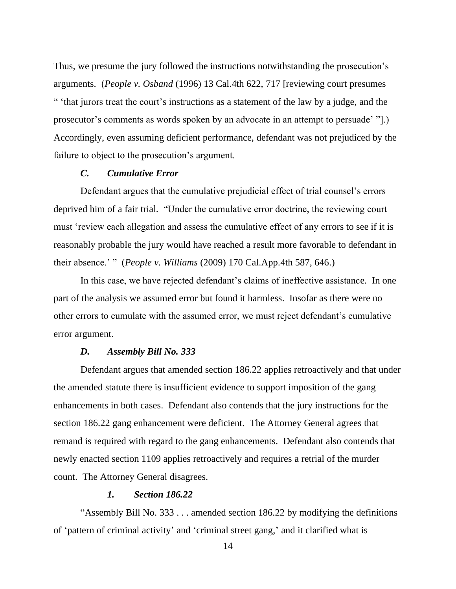Thus, we presume the jury followed the instructions notwithstanding the prosecution's arguments. (*People v. Osband* (1996) 13 Cal.4th 622, 717 [reviewing court presumes " 'that jurors treat the court's instructions as a statement of the law by a judge, and the prosecutor's comments as words spoken by an advocate in an attempt to persuade' "].) Accordingly, even assuming deficient performance, defendant was not prejudiced by the failure to object to the prosecution's argument.

## *C. Cumulative Error*

Defendant argues that the cumulative prejudicial effect of trial counsel's errors deprived him of a fair trial. "Under the cumulative error doctrine, the reviewing court must 'review each allegation and assess the cumulative effect of any errors to see if it is reasonably probable the jury would have reached a result more favorable to defendant in their absence.' " (*People v. Williams* (2009) 170 Cal.App.4th 587, 646.)

In this case, we have rejected defendant's claims of ineffective assistance. In one part of the analysis we assumed error but found it harmless. Insofar as there were no other errors to cumulate with the assumed error, we must reject defendant's cumulative error argument.

## *D. Assembly Bill No. 333*

Defendant argues that amended section 186.22 applies retroactively and that under the amended statute there is insufficient evidence to support imposition of the gang enhancements in both cases. Defendant also contends that the jury instructions for the section 186.22 gang enhancement were deficient. The Attorney General agrees that remand is required with regard to the gang enhancements. Defendant also contends that newly enacted section 1109 applies retroactively and requires a retrial of the murder count. The Attorney General disagrees.

## *1. Section 186.22*

"Assembly Bill No. 333 . . . amended section 186.22 by modifying the definitions of 'pattern of criminal activity' and 'criminal street gang,' and it clarified what is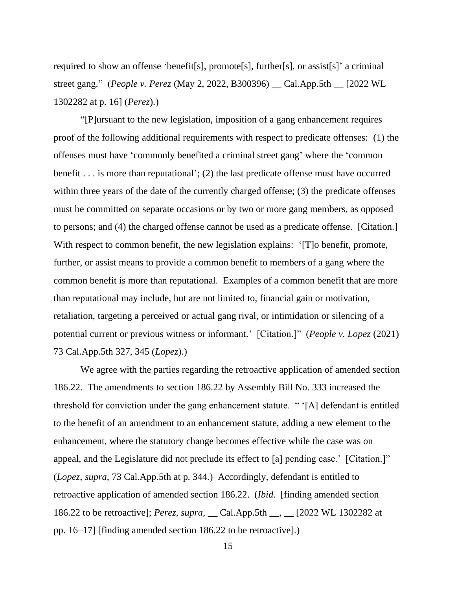required to show an offense 'benefit[s], promote[s], further[s], or assist[s]' a criminal street gang." (*People v. Perez* (May 2, 2022, B300396) \_\_ Cal.App.5th \_\_ [2022 WL 1302282 at p. 16] (*Perez*).)

"[P]ursuant to the new legislation, imposition of a gang enhancement requires proof of the following additional requirements with respect to predicate offenses: (1) the offenses must have 'commonly benefited a criminal street gang' where the 'common benefit . . . is more than reputational'; (2) the last predicate offense must have occurred within three years of the date of the currently charged offense; (3) the predicate offenses must be committed on separate occasions or by two or more gang members, as opposed to persons; and (4) the charged offense cannot be used as a predicate offense. [Citation.] With respect to common benefit, the new legislation explains: '[T]o benefit, promote, further, or assist means to provide a common benefit to members of a gang where the common benefit is more than reputational. Examples of a common benefit that are more than reputational may include, but are not limited to, financial gain or motivation, retaliation, targeting a perceived or actual gang rival, or intimidation or silencing of a potential current or previous witness or informant.' [Citation.]" (*People v. Lopez* (2021) 73 Cal.App.5th 327, 345 (*Lopez*).)

We agree with the parties regarding the retroactive application of amended section 186.22. The amendments to section 186.22 by Assembly Bill No. 333 increased the threshold for conviction under the gang enhancement statute. " '[A] defendant is entitled to the benefit of an amendment to an enhancement statute, adding a new element to the enhancement, where the statutory change becomes effective while the case was on appeal, and the Legislature did not preclude its effect to [a] pending case.' [Citation.]" (*Lopez*, *supra*, 73 Cal.App.5th at p. 344.) Accordingly, defendant is entitled to retroactive application of amended section 186.22. (*Ibid.* [finding amended section 186.22 to be retroactive]; *Perez*, *supra*, \_\_ Cal.App.5th \_\_, \_\_ [2022 WL 1302282 at pp. 16–17] [finding amended section 186.22 to be retroactive].)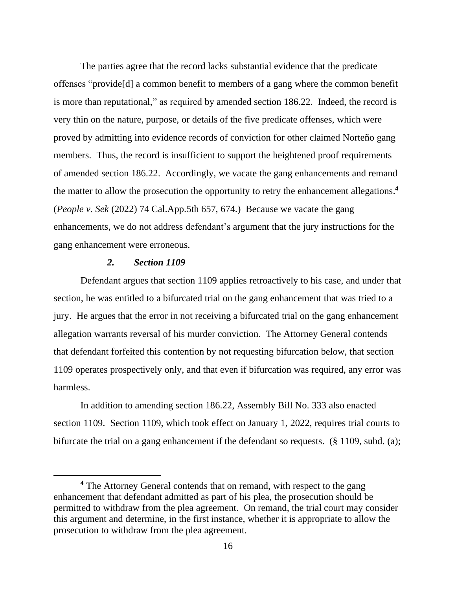The parties agree that the record lacks substantial evidence that the predicate offenses "provide[d] a common benefit to members of a gang where the common benefit is more than reputational," as required by amended section 186.22. Indeed, the record is very thin on the nature, purpose, or details of the five predicate offenses, which were proved by admitting into evidence records of conviction for other claimed Norteño gang members. Thus, the record is insufficient to support the heightened proof requirements of amended section 186.22. Accordingly, we vacate the gang enhancements and remand the matter to allow the prosecution the opportunity to retry the enhancement allegations. **4** (*People v. Sek* (2022) 74 Cal.App.5th 657, 674.) Because we vacate the gang enhancements, we do not address defendant's argument that the jury instructions for the gang enhancement were erroneous.

## *2. Section 1109*

Defendant argues that section 1109 applies retroactively to his case, and under that section, he was entitled to a bifurcated trial on the gang enhancement that was tried to a jury. He argues that the error in not receiving a bifurcated trial on the gang enhancement allegation warrants reversal of his murder conviction. The Attorney General contends that defendant forfeited this contention by not requesting bifurcation below, that section 1109 operates prospectively only, and that even if bifurcation was required, any error was harmless.

In addition to amending section 186.22, Assembly Bill No. 333 also enacted section 1109. Section 1109, which took effect on January 1, 2022, requires trial courts to bifurcate the trial on a gang enhancement if the defendant so requests. (§ 1109, subd. (a);

**<sup>4</sup>** The Attorney General contends that on remand, with respect to the gang enhancement that defendant admitted as part of his plea, the prosecution should be permitted to withdraw from the plea agreement. On remand, the trial court may consider this argument and determine, in the first instance, whether it is appropriate to allow the prosecution to withdraw from the plea agreement.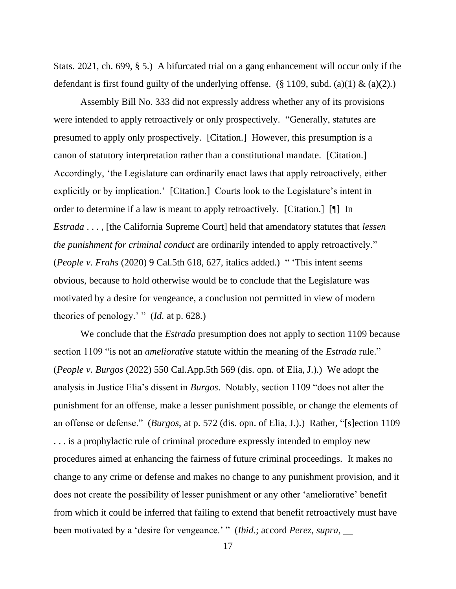Stats. 2021, ch. 699, § 5.) A bifurcated trial on a gang enhancement will occur only if the defendant is first found guilty of the underlying offense. (§ 1109, subd. (a)(1)  $\&$  (a)(2).)

Assembly Bill No. 333 did not expressly address whether any of its provisions were intended to apply retroactively or only prospectively. "Generally, statutes are presumed to apply only prospectively. [Citation.] However, this presumption is a canon of statutory interpretation rather than a constitutional mandate. [Citation.] Accordingly, 'the Legislature can ordinarily enact laws that apply retroactively, either explicitly or by implication.' [Citation.] Courts look to the Legislature's intent in order to determine if a law is meant to apply retroactively. [Citation.] [¶] In *Estrada* . . . , [the California Supreme Court] held that amendatory statutes that *lessen the punishment for criminal conduct* are ordinarily intended to apply retroactively." (*People v. Frahs* (2020) 9 Cal.5th 618, 627, italics added.) " 'This intent seems obvious, because to hold otherwise would be to conclude that the Legislature was motivated by a desire for vengeance, a conclusion not permitted in view of modern theories of penology.' " (*Id.* at p. 628.)

We conclude that the *Estrada* presumption does not apply to section 1109 because section 1109 "is not an *ameliorative* statute within the meaning of the *Estrada* rule." (*People v. Burgos* (2022) 550 Cal.App.5th 569 (dis. opn. of Elia, J.).) We adopt the analysis in Justice Elia's dissent in *Burgos*. Notably, section 1109 "does not alter the punishment for an offense, make a lesser punishment possible, or change the elements of an offense or defense." (*Burgos*, at p. 572 (dis. opn. of Elia, J.).) Rather, "[s]ection 1109 . . . is a prophylactic rule of criminal procedure expressly intended to employ new procedures aimed at enhancing the fairness of future criminal proceedings. It makes no change to any crime or defense and makes no change to any punishment provision, and it does not create the possibility of lesser punishment or any other 'ameliorative' benefit from which it could be inferred that failing to extend that benefit retroactively must have been motivated by a 'desire for vengeance.' " (*Ibid*.; accord *Perez*, *supra*, \_\_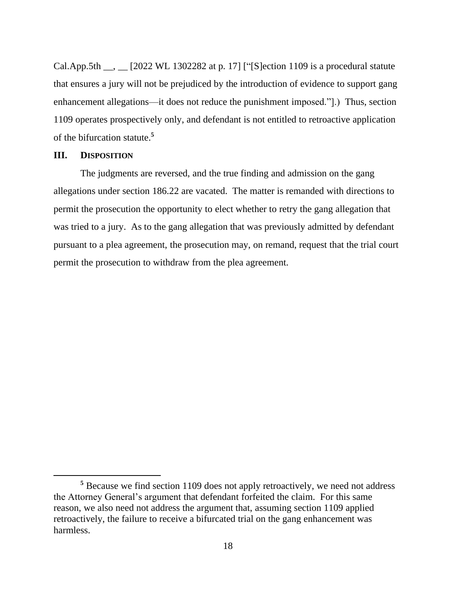Cal.App.5th  $\blacksquare$  . [2022 WL 1302282 at p. 17] ["[S]ection 1109 is a procedural statute that ensures a jury will not be prejudiced by the introduction of evidence to support gang enhancement allegations—it does not reduce the punishment imposed."].) Thus, section 1109 operates prospectively only, and defendant is not entitled to retroactive application of the bifurcation statute.**<sup>5</sup>**

#### **III. DISPOSITION**

The judgments are reversed, and the true finding and admission on the gang allegations under section 186.22 are vacated. The matter is remanded with directions to permit the prosecution the opportunity to elect whether to retry the gang allegation that was tried to a jury. As to the gang allegation that was previously admitted by defendant pursuant to a plea agreement, the prosecution may, on remand, request that the trial court permit the prosecution to withdraw from the plea agreement.

**<sup>5</sup>** Because we find section 1109 does not apply retroactively, we need not address the Attorney General's argument that defendant forfeited the claim. For this same reason, we also need not address the argument that, assuming section 1109 applied retroactively, the failure to receive a bifurcated trial on the gang enhancement was harmless.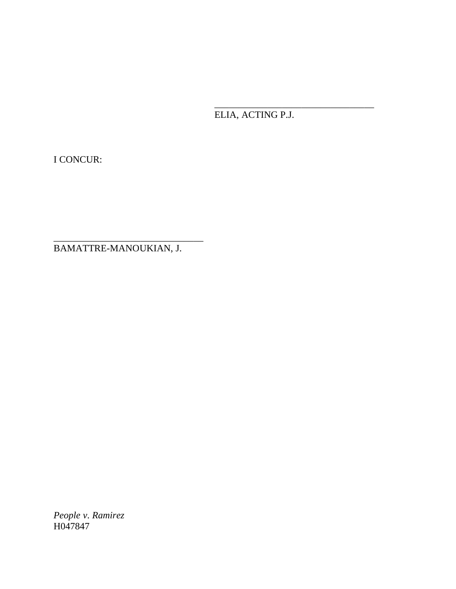ELIA, ACTING P.J.

\_\_\_\_\_\_\_\_\_\_\_\_\_\_\_\_\_\_\_\_\_\_\_\_\_\_\_\_\_\_\_\_\_

I CONCUR:

BAMATTRE-MANOUKIAN, J.

\_\_\_\_\_\_\_\_\_\_\_\_\_\_\_\_\_\_\_\_\_\_\_\_\_\_\_\_\_\_\_

*People v*. *Ramirez* H047847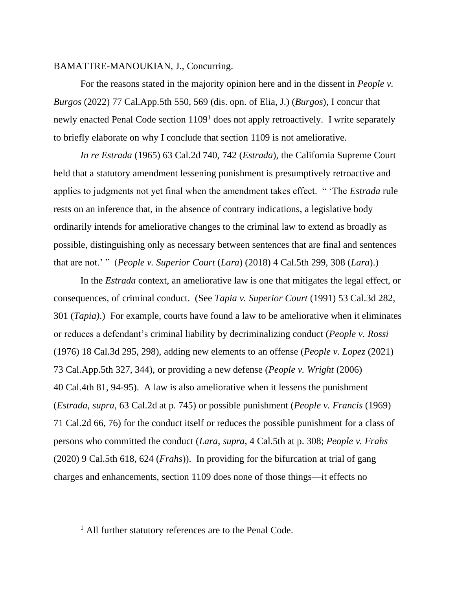## BAMATTRE-MANOUKIAN, J., Concurring.

For the reasons stated in the majority opinion here and in the dissent in *People v. Burgos* (2022) 77 Cal.App.5th 550, 569 (dis. opn. of Elia, J.) (*Burgos*), I concur that newly enacted Penal Code section 1109<sup>1</sup> does not apply retroactively. I write separately to briefly elaborate on why I conclude that section 1109 is not ameliorative.

*In re Estrada* (1965) 63 Cal.2d 740, 742 (*Estrada*), the California Supreme Court held that a statutory amendment lessening punishment is presumptively retroactive and applies to judgments not yet final when the amendment takes effect. " 'The *Estrada* rule rests on an inference that, in the absence of contrary indications, a legislative body ordinarily intends for ameliorative changes to the criminal law to extend as broadly as possible, distinguishing only as necessary between sentences that are final and sentences that are not.' " (*People v. Superior Court* (*Lara*) (2018) 4 Cal.5th 299, 308 (*Lara*).)

In the *Estrada* context, an ameliorative law is one that mitigates the legal effect, or consequences, of criminal conduct. (See *Tapia v. Superior Court* (1991) 53 Cal.3d 282, 301 (*Tapia)*.) For example, courts have found a law to be ameliorative when it eliminates or reduces a defendant's criminal liability by decriminalizing conduct (*People v. Rossi* (1976) 18 Cal.3d 295, 298), adding new elements to an offense (*People v. Lopez* (2021) 73 Cal.App.5th 327, 344), or providing a new defense (*People v. Wright* (2006) 40 Cal.4th 81, 94-95). A law is also ameliorative when it lessens the punishment (*Estrada*, *supra*, 63 Cal.2d at p. 745) or possible punishment (*People v. Francis* (1969) 71 Cal.2d 66, 76) for the conduct itself or reduces the possible punishment for a class of persons who committed the conduct (*Lara*, *supra*, 4 Cal.5th at p. 308; *People v. Frahs* (2020) 9 Cal.5th 618, 624 (*Frahs*)). In providing for the bifurcation at trial of gang charges and enhancements, section 1109 does none of those things—it effects no

<sup>&</sup>lt;sup>1</sup> All further statutory references are to the Penal Code.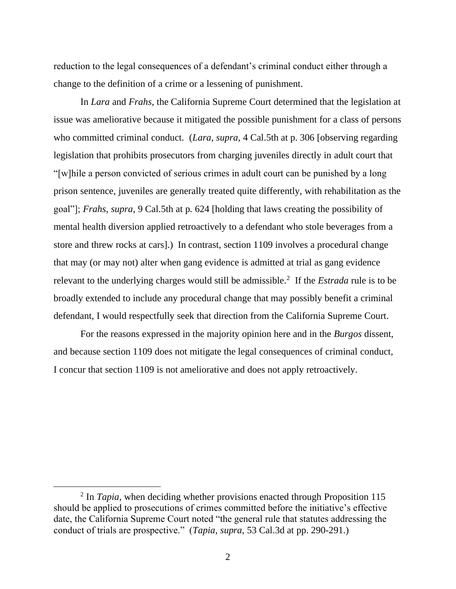reduction to the legal consequences of a defendant's criminal conduct either through a change to the definition of a crime or a lessening of punishment.

In *Lara* and *Frahs*, the California Supreme Court determined that the legislation at issue was ameliorative because it mitigated the possible punishment for a class of persons who committed criminal conduct. (*Lara*, *supra*, 4 Cal.5th at p. 306 [observing regarding legislation that prohibits prosecutors from charging juveniles directly in adult court that "[w]hile a person convicted of serious crimes in adult court can be punished by a long prison sentence, juveniles are generally treated quite differently, with rehabilitation as the goal"]; *Frahs*, *supra*, 9 Cal.5th at p. 624 [holding that laws creating the possibility of mental health diversion applied retroactively to a defendant who stole beverages from a store and threw rocks at cars].) In contrast, section 1109 involves a procedural change that may (or may not) alter when gang evidence is admitted at trial as gang evidence relevant to the underlying charges would still be admissible.<sup>2</sup> If the *Estrada* rule is to be broadly extended to include any procedural change that may possibly benefit a criminal defendant, I would respectfully seek that direction from the California Supreme Court.

For the reasons expressed in the majority opinion here and in the *Burgos* dissent, and because section 1109 does not mitigate the legal consequences of criminal conduct, I concur that section 1109 is not ameliorative and does not apply retroactively.

<sup>&</sup>lt;sup>2</sup> In *Tapia*, when deciding whether provisions enacted through Proposition 115 should be applied to prosecutions of crimes committed before the initiative's effective date, the California Supreme Court noted "the general rule that statutes addressing the conduct of trials are prospective." (*Tapia*, *supra*, 53 Cal.3d at pp. 290-291.)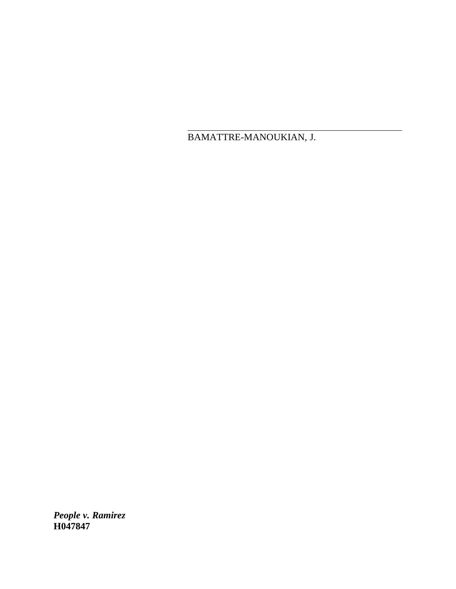BAMATTRE-MANOUKIAN, J.

*People v. Ramirez* **H047847**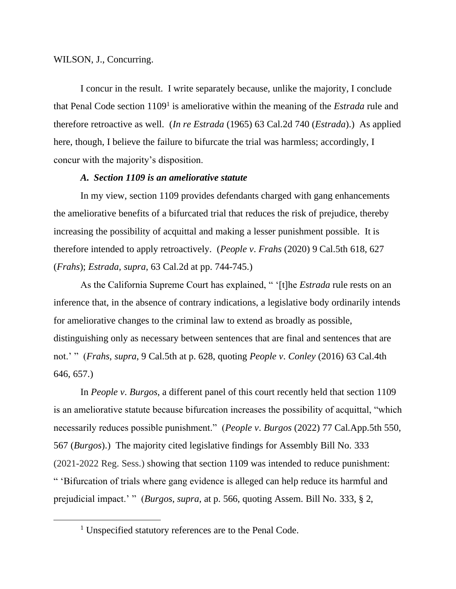## WILSON, J., Concurring.

I concur in the result. I write separately because, unlike the majority, I conclude that Penal Code section 1109<sup>1</sup> is ameliorative within the meaning of the *Estrada* rule and therefore retroactive as well. (*In re Estrada* (1965) 63 Cal.2d 740 (*Estrada*).) As applied here, though, I believe the failure to bifurcate the trial was harmless; accordingly, I concur with the majority's disposition.

## *A. Section 1109 is an ameliorative statute*

In my view, section 1109 provides defendants charged with gang enhancements the ameliorative benefits of a bifurcated trial that reduces the risk of prejudice, thereby increasing the possibility of acquittal and making a lesser punishment possible. It is therefore intended to apply retroactively. (*People v*. *Frahs* (2020) 9 Cal.5th 618, 627 (*Frahs*); *Estrada*, *supra*, 63 Cal.2d at pp. 744-745.)

As the California Supreme Court has explained, " '[t]he *Estrada* rule rests on an inference that, in the absence of contrary indications, a legislative body ordinarily intends for ameliorative changes to the criminal law to extend as broadly as possible, distinguishing only as necessary between sentences that are final and sentences that are not.' " (*Frahs*, *supra*, 9 Cal.5th at p. 628, quoting *People v*. *Conley* (2016) 63 Cal.4th 646, 657.)

In *People v*. *Burgos*, a different panel of this court recently held that section 1109 is an ameliorative statute because bifurcation increases the possibility of acquittal, "which necessarily reduces possible punishment." (*People v*. *Burgos* (2022) 77 Cal.App.5th 550, 567 (*Burgos*).) The majority cited legislative findings for Assembly Bill No. 333 (2021-2022 Reg. Sess.) showing that section 1109 was intended to reduce punishment: " 'Bifurcation of trials where gang evidence is alleged can help reduce its harmful and prejudicial impact.' " (*Burgos*, *supra*, at p. 566, quoting Assem. Bill No. 333, § 2,

<sup>&</sup>lt;sup>1</sup> Unspecified statutory references are to the Penal Code.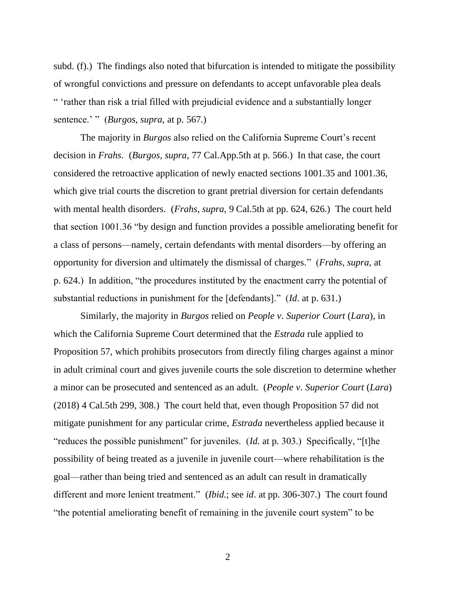subd. (f).) The findings also noted that bifurcation is intended to mitigate the possibility of wrongful convictions and pressure on defendants to accept unfavorable plea deals " 'rather than risk a trial filled with prejudicial evidence and a substantially longer sentence.' " (*Burgos*, *supra*, at p. 567.)

The majority in *Burgos* also relied on the California Supreme Court's recent decision in *Frahs*. (*Burgos*, *supra*, 77 Cal.App.5th at p. 566.) In that case, the court considered the retroactive application of newly enacted sections 1001.35 and 1001.36, which give trial courts the discretion to grant pretrial diversion for certain defendants with mental health disorders. (*Frahs*, *supra*, 9 Cal.5th at pp. 624, 626.) The court held that section 1001.36 "by design and function provides a possible ameliorating benefit for a class of persons—namely, certain defendants with mental disorders—by offering an opportunity for diversion and ultimately the dismissal of charges." (*Frahs*, *supra*, at p. 624.) In addition, "the procedures instituted by the enactment carry the potential of substantial reductions in punishment for the [defendants]." (*Id*. at p. 631.)

Similarly, the majority in *Burgos* relied on *People v*. *Superior Court* (*Lara*), in which the California Supreme Court determined that the *Estrada* rule applied to Proposition 57, which prohibits prosecutors from directly filing charges against a minor in adult criminal court and gives juvenile courts the sole discretion to determine whether a minor can be prosecuted and sentenced as an adult. (*People v*. *Superior Court* (*Lara*) (2018) 4 Cal.5th 299, 308.) The court held that, even though Proposition 57 did not mitigate punishment for any particular crime, *Estrada* nevertheless applied because it "reduces the possible punishment" for juveniles. (*Id*. at p. 303.) Specifically, "[t]he possibility of being treated as a juvenile in juvenile court—where rehabilitation is the goal—rather than being tried and sentenced as an adult can result in dramatically different and more lenient treatment." (*Ibid*.; see *id*. at pp. 306-307.) The court found "the potential ameliorating benefit of remaining in the juvenile court system" to be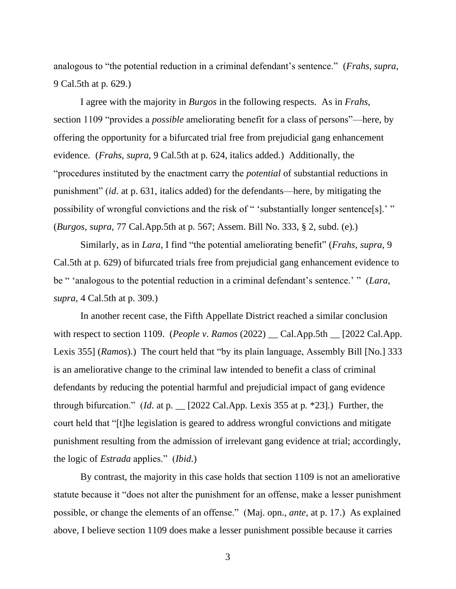analogous to "the potential reduction in a criminal defendant's sentence." (*Frahs*, *supra*, 9 Cal.5th at p. 629.)

I agree with the majority in *Burgos* in the following respects. As in *Frahs*, section 1109 "provides a *possible* ameliorating benefit for a class of persons"—here, by offering the opportunity for a bifurcated trial free from prejudicial gang enhancement evidence. (*Frahs*, *supra*, 9 Cal.5th at p. 624, italics added.) Additionally, the "procedures instituted by the enactment carry the *potential* of substantial reductions in punishment" (*id*. at p. 631, italics added) for the defendants—here, by mitigating the possibility of wrongful convictions and the risk of " 'substantially longer sentence[s].' " (*Burgos*, *supra*, 77 Cal.App.5th at p. 567; Assem. Bill No. 333, § 2, subd. (e).)

Similarly, as in *Lara*, I find "the potential ameliorating benefit" (*Frahs*, *supra*, 9 Cal.5th at p. 629) of bifurcated trials free from prejudicial gang enhancement evidence to be " 'analogous to the potential reduction in a criminal defendant's sentence.' " (*Lara*, *supra*, 4 Cal.5th at p. 309.)

In another recent case, the Fifth Appellate District reached a similar conclusion with respect to section 1109. (*People v*. *Ramos* (2022) \_\_ Cal.App.5th \_\_ [2022 Cal.App. Lexis 355] (*Ramos*).) The court held that "by its plain language, Assembly Bill [No.] 333 is an ameliorative change to the criminal law intended to benefit a class of criminal defendants by reducing the potential harmful and prejudicial impact of gang evidence through bifurcation." (*Id.* at p.  $\left[2022 \text{ Cal.}$ App. Lexis 355 at p. \*23].) Further, the court held that "[t]he legislation is geared to address wrongful convictions and mitigate punishment resulting from the admission of irrelevant gang evidence at trial; accordingly, the logic of *Estrada* applies." (*Ibid*.)

By contrast, the majority in this case holds that section 1109 is not an ameliorative statute because it "does not alter the punishment for an offense, make a lesser punishment possible, or change the elements of an offense." (Maj. opn., *ante*, at p. 17.) As explained above, I believe section 1109 does make a lesser punishment possible because it carries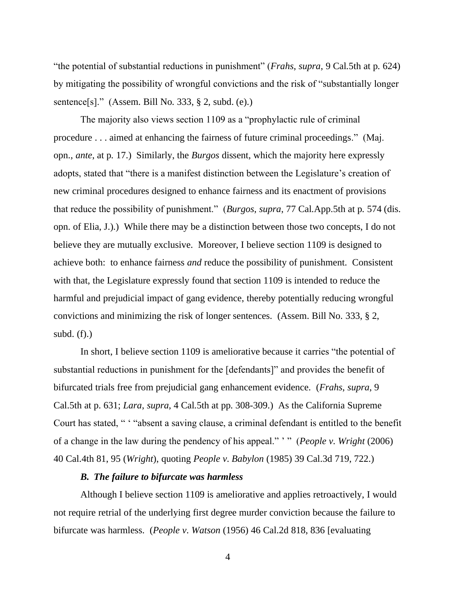"the potential of substantial reductions in punishment" (*Frahs*, *supra*, 9 Cal.5th at p. 624) by mitigating the possibility of wrongful convictions and the risk of "substantially longer sentence[s]." (Assem. Bill No. 333, § 2, subd. (e).)

The majority also views section 1109 as a "prophylactic rule of criminal procedure . . . aimed at enhancing the fairness of future criminal proceedings." (Maj. opn., *ante*, at p. 17.) Similarly, the *Burgos* dissent, which the majority here expressly adopts, stated that "there is a manifest distinction between the Legislature's creation of new criminal procedures designed to enhance fairness and its enactment of provisions that reduce the possibility of punishment." (*Burgos*, *supra*, 77 Cal.App.5th at p. 574 (dis. opn. of Elia, J.).) While there may be a distinction between those two concepts, I do not believe they are mutually exclusive. Moreover, I believe section 1109 is designed to achieve both: to enhance fairness *and* reduce the possibility of punishment. Consistent with that, the Legislature expressly found that section 1109 is intended to reduce the harmful and prejudicial impact of gang evidence, thereby potentially reducing wrongful convictions and minimizing the risk of longer sentences. (Assem. Bill No. 333, § 2, subd.  $(f)$ .)

In short, I believe section 1109 is ameliorative because it carries "the potential of substantial reductions in punishment for the [defendants]" and provides the benefit of bifurcated trials free from prejudicial gang enhancement evidence. (*Frahs*, *supra*, 9 Cal.5th at p. 631; *Lara*, *supra*, 4 Cal.5th at pp. 308-309.) As the California Supreme Court has stated, " ' "absent a saving clause, a criminal defendant is entitled to the benefit of a change in the law during the pendency of his appeal." ' " (*People v*. *Wright* (2006) 40 Cal.4th 81, 95 (*Wright*), quoting *People v*. *Babylon* (1985) 39 Cal.3d 719, 722.)

#### *B. The failure to bifurcate was harmless*

Although I believe section 1109 is ameliorative and applies retroactively, I would not require retrial of the underlying first degree murder conviction because the failure to bifurcate was harmless. (*People v*. *Watson* (1956) 46 Cal.2d 818, 836 [evaluating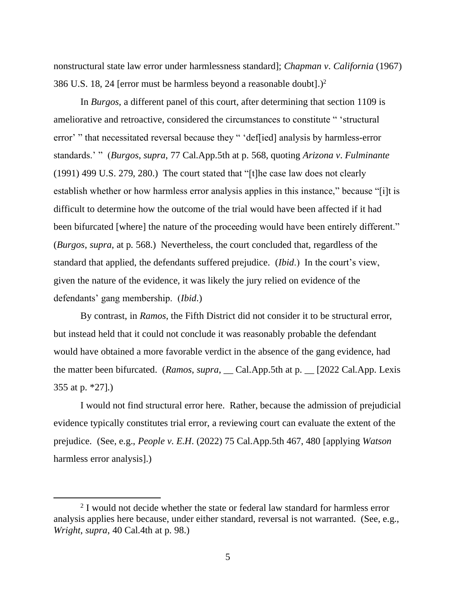nonstructural state law error under harmlessness standard]; *Chapman v*. *California* (1967) 386 U.S. 18, 24 [error must be harmless beyond a reasonable doubt].)<sup>2</sup>

In *Burgos*, a different panel of this court, after determining that section 1109 is ameliorative and retroactive, considered the circumstances to constitute " 'structural error' " that necessitated reversal because they " 'def[ied] analysis by harmless-error standards.' " (*Burgos*, *supra*, 77 Cal.App.5th at p. 568, quoting *Arizona v*. *Fulminante*  (1991) 499 U.S. 279, 280.) The court stated that "[t]he case law does not clearly establish whether or how harmless error analysis applies in this instance," because "[i]t is difficult to determine how the outcome of the trial would have been affected if it had been bifurcated [where] the nature of the proceeding would have been entirely different." (*Burgos*, *supra*, at p. 568.) Nevertheless, the court concluded that, regardless of the standard that applied, the defendants suffered prejudice. (*Ibid*.) In the court's view, given the nature of the evidence, it was likely the jury relied on evidence of the defendants' gang membership. (*Ibid*.)

By contrast, in *Ramos*, the Fifth District did not consider it to be structural error, but instead held that it could not conclude it was reasonably probable the defendant would have obtained a more favorable verdict in the absence of the gang evidence, had the matter been bifurcated. (*Ramos, supra*, \_ Cal.App.5th at p. \_ [2022 Cal.App. Lexis 355 at p. \*27].)

I would not find structural error here. Rather, because the admission of prejudicial evidence typically constitutes trial error, a reviewing court can evaluate the extent of the prejudice. (See, e.g., *People v*. *E*.*H*. (2022) 75 Cal.App.5th 467, 480 [applying *Watson*  harmless error analysis].)

<sup>&</sup>lt;sup>2</sup> I would not decide whether the state or federal law standard for harmless error analysis applies here because, under either standard, reversal is not warranted. (See, e.g., *Wright*, *supra*, 40 Cal.4th at p. 98.)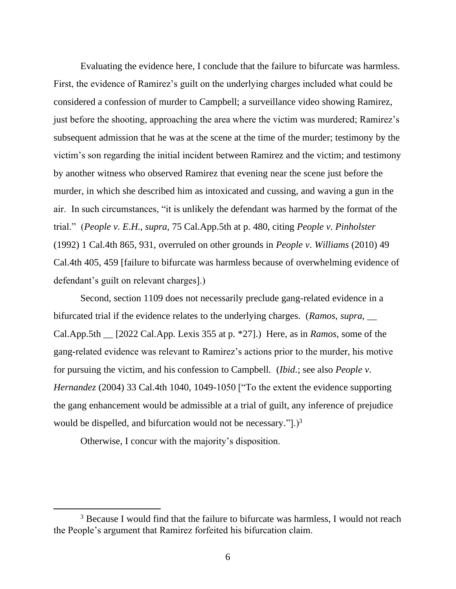Evaluating the evidence here, I conclude that the failure to bifurcate was harmless. First, the evidence of Ramirez's guilt on the underlying charges included what could be considered a confession of murder to Campbell; a surveillance video showing Ramirez, just before the shooting, approaching the area where the victim was murdered; Ramirez's subsequent admission that he was at the scene at the time of the murder; testimony by the victim's son regarding the initial incident between Ramirez and the victim; and testimony by another witness who observed Ramirez that evening near the scene just before the murder, in which she described him as intoxicated and cussing, and waving a gun in the air. In such circumstances, "it is unlikely the defendant was harmed by the format of the trial." (*People v*. *E*.*H*., *supra*, 75 Cal.App.5th at p. 480, citing *People v*. *Pinholster* (1992) 1 Cal.4th 865, 931, overruled on other grounds in *People v*. *Williams* (2010) 49 Cal.4th 405, 459 [failure to bifurcate was harmless because of overwhelming evidence of defendant's guilt on relevant charges].)

Second, section 1109 does not necessarily preclude gang-related evidence in a bifurcated trial if the evidence relates to the underlying charges. (*Ramos*, *supra*, \_\_ Cal.App.5th \_\_ [2022 Cal.App. Lexis 355 at p. \*27].) Here, as in *Ramos*, some of the gang-related evidence was relevant to Ramirez's actions prior to the murder, his motive for pursuing the victim, and his confession to Campbell. (*Ibid*.; see also *People v*. *Hernandez* (2004) 33 Cal.4th 1040, 1049-1050 ["To the extent the evidence supporting the gang enhancement would be admissible at a trial of guilt, any inference of prejudice would be dispelled, and bifurcation would not be necessary." $]$ .)<sup>3</sup>

Otherwise, I concur with the majority's disposition.

<sup>&</sup>lt;sup>3</sup> Because I would find that the failure to bifurcate was harmless, I would not reach the People's argument that Ramirez forfeited his bifurcation claim.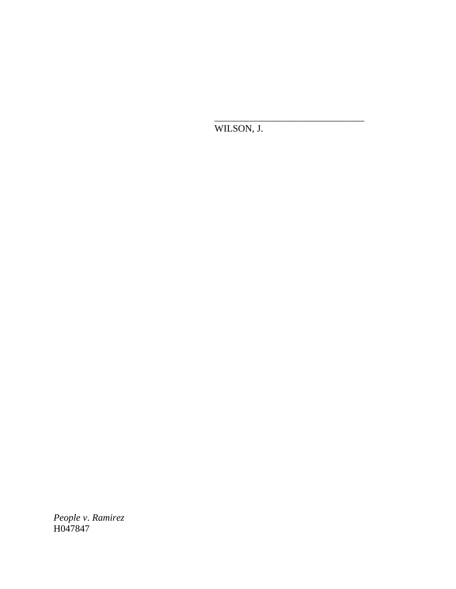WILSON, J.

\_\_\_\_\_\_\_\_\_\_\_\_\_\_\_\_\_\_\_\_\_\_\_\_\_\_\_\_\_\_\_

*People v*. *Ramirez* H047847